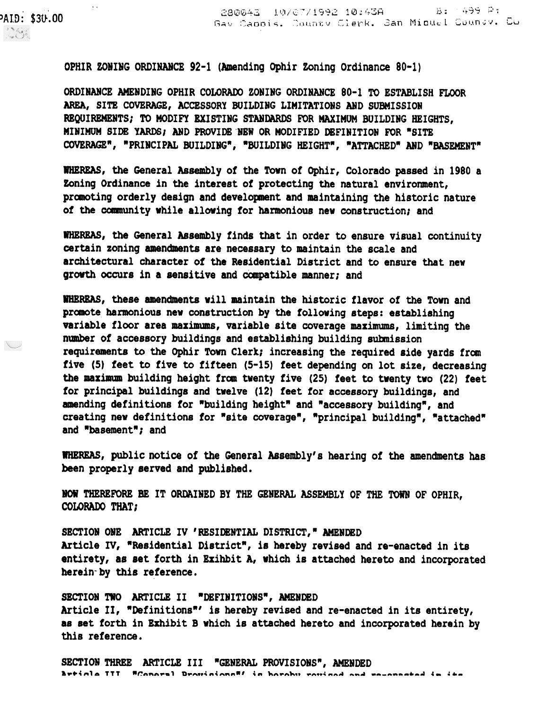OPHIR ZONING ORDINANCE 92-1 (Amending Ophir Zoning Ordinance 80-1)

PAID: \$30.00

1986

└

 $\epsilon \propto$ 

ORDINANCE AMENDING OPHIR COLORADO ZONING ORDINANCE 80-1 TO ESTABLISH FLOOR AREA, SITE COVERAGE, ACCESSORY BUILDING LIMITATIONS AND SUBMISSION REQUIREMENTS; TO MODIFY EXISTING STANDARDS FOR MAXIMUM BUILDING HEIGHTS, MINIMUM SIDE YARDS; AND PROVIDE NEW OR MODIFIED DEFINITION FOR "SITE COVERAGE", "PRINCIPAL BUILDING", "BUILDING HEIGHT", "ATTACHED" AND "BASEMENT"

WHEREAS, the General Assembly of the Town of Ophir, Colorado passed in 1980 a Zoning Ordinance in the interest of protecting the natural environment, promoting orderly design and development and maintaining the historic nature of the community while allowing for harmonious new construction; and

WHEREAS, the General Assembly finds that in order to ensure visual continuity certain zoning amendments are necessary to maintain the scale and architectural character of the Residential District and to ensure that new growth occurs in a sensitive and compatible manner; and

WHEREAS, these amendments will maintain the historic flavor of the Town and promote harmonious new construction by the following steps: establishing variable floor area maximums, variable site coverage maximums, limiting the number of accessory buildings and establishing building submission requirements to the Ophir Town Clerk; increasing the required side yards from five (5) feet to five to fifteen (5-15) feet depending on lot size, decreasing the maximum building height from twenty five (25) feet to twenty two (22) feet for principal buildings and twelve (12) feet for accessory buildings, and amending definitions for "building height" and "accessory building", and creating new definitions for "site coverage", "principal building", "attached" and "basement"; and

WHEREAS, public notice of the General Assembly's hearing of the amendments has been properly served and published

NOW THEREFORE BE IT ORDAINED BY THE GENERAL ASSEMBLY OF THE TOWN OF OPHIR, COLORADO THAT;

SECTION ONE ARTICLE IV ' RESIDENTIAL DISTRICT," AMENDED Article IV, "Residential District", is hereby revised and re-enacted in its entirety, as set forth in Ezihbit A, which is attached hereto and incorporated herein-by this reference.

SECTION TWO ARTICLE II "DEFINITIONS", AMENDED Article II, "Definitions"' is hereby revised and re-enacted in its entirety, as set forth in Ezhibit B which is attached hereto and incorporated herein by this reference.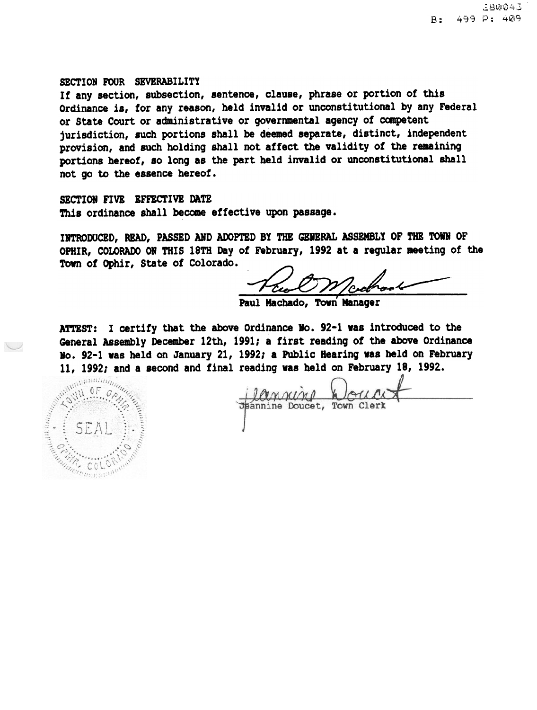#### SECTION FOUR SEVERABILITY

If any section, subsection, sentence, clause, phrase or portion of this Ordinance is, for any reason, held invalid or unconstitutional by any Federal or State Court or administrative or governmental agency of competent jurisdiction, such portions shall be deemed separate, distinct, independent provision, and such holding shall not affect the validity of the remaining portions hereof, so long as the part held invalid or unconstitutional shall not go to the essence hereof.

SECTION FIVE EFFECTIVE DATE This ordinance shall become effective upon passage.

INTRODUCED, READ, PASSED AND AOOPTED BY THE GENERAL ASSEMBLY OF THE TOWN OF OPHIR, COLORADO ON THIS 18TH Day of February, 1992 at a regular meeting of the INTRODUCED, READ, PASSED AND ADOPTED BY<br>OPHIR, COLORADO ON THIS 18TH Day of Feb:<br>Town of Ophir, State of Colorado.

Worked

Paul Machado, Town Manager

ATTEST: I certify that the above Ordinance No. 92-1 was introduced to the General Assembly December 12th, 1991; a first reading of the above Ordinance<br>
No. 92-1 was held on January 21, 1992; a Public Hearing was held on February<br>
11, 1992; and a second and final reading was held on February 18, 10.92-1 vas held on January 21, 1992; a Public Hearing vas held on February 11, 1992; and a second and final reading vas held on February 18, 1992.

Mintermand

Dannino Jpannine Doucet, Town Clerk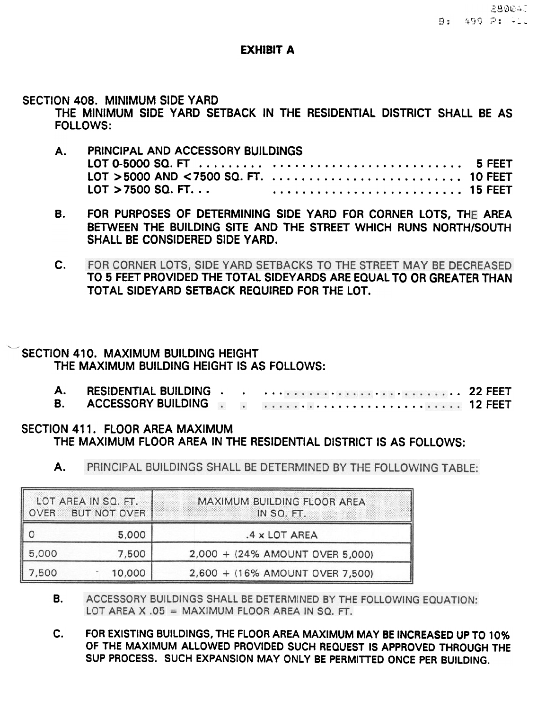# EXHIBIT A

### SECTION 408. MINIMUM SIDE YARD

THE MINIMUM SIDE YARD SETBACK IN THE RESIDENTIAL DISTRICT SHALL BE AS FOllOWS:

- A. PRINCIPAL AND ACCESSORY BUILDINGS LOT 0-5000 SQ. FT ......... 5 FEET . . . . . . . . . . . . . . . . . . . . . . . . . . LOT> 5000 AND < 7500 SQ. FT. 10 FEET . . . . . . . . . . . . . . . . . . . . . . . . . .  $LOT > 7500$  SQ. FT.  $\ldots$ 15 FEET . . . . . . . . . . . . . . . . . . . . . . . . . .. .
- B. FOR PURPOSES OF DETERMINING SIDE YARD FOR CORNER LOTS, THE AREA BETWEEN THE BUILDING SITE AND THE STREET WHICH RUNS NORTH/SOUTH SHALL BE CONSIDERED SIDE YARD.
- FOR CORNER LOTS, SIDE YARD SETBACKS TO THE STREET MAY BE DECREASED C. TO 5 FEET PROVIDED THE TOTAL SIDEY ARDS ARE EQUAL TO OR GREATER THAN TOTAL SIDEY ARD SETBACK REQUIRED FOR THE LOT.

# SECTION 410. MAXIMUM BUILDING HEIGHT THE MAXIMUM BUILDING HEIGHT IS AS FOLLOWS:

 $\ddotmark$ 

| <b>B.</b> ACCESSORY BUILDING <b>Reserve SET ACCESSORY</b> |  |  |
|-----------------------------------------------------------|--|--|

# SECTION 411. FLOOR AREA MAXIMUM THE MAXIMUM FLOOR AREA IN THE RESIDENTIAL DISTRICT IS AS FOLLOWS:

A. PRINCIPAL BUILDINGS SHALL BE DETERMINED BY THE FOLLOWING TABLE:

| OVER  | LOT AREA IN SQ. FT.<br>BUT NOT OVER | MAXIMUM BUILDING FLOOR AREA<br>IN SQ. FT. |  |  |
|-------|-------------------------------------|-------------------------------------------|--|--|
|       | 5,000                               | .4 x LOT AREA                             |  |  |
| 5,000 | 7,500                               | 2,000 + (24% AMOUNT OVER 5,000)           |  |  |
| 7,500 | 10,000                              | 2,600 + (16% AMOUNT OVER 7,500)           |  |  |

- ACCESSORY BUILDINGS SHALL BE DETERMINED BY THE FOLLOWING EQUATION: B. LOT AREA X .05 = MAXIMUM FLOOR AREA IN SQ. FT.
- c. FOR EXISTING BUILDINGS, THE FLOOR AREA MAXIMUM MAY BE INCREASED UP TO 10% OF THE MAXIMUM ALLOWED PROVIDED SUCH REQUEST IS APPROVED THROUGH THE SUP PROCESS. SUCH EXPANSION MAY ONLY BE PERMITTED ONCE PER BUILDING.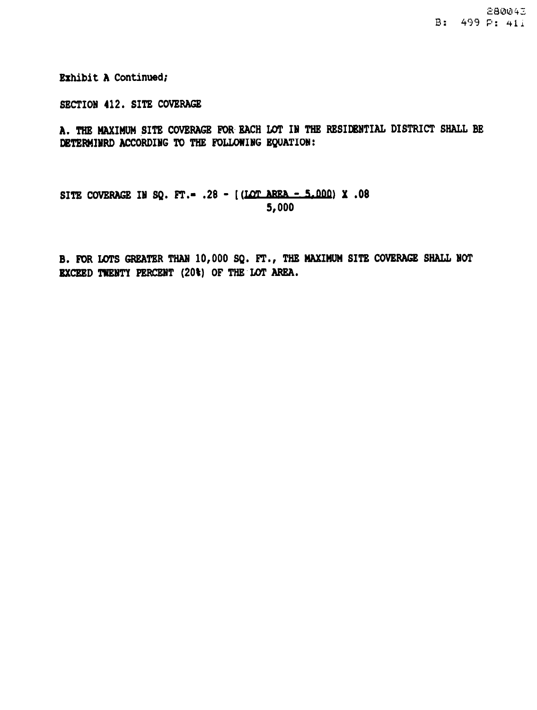Exhibit A Continued;

SECTION 412. SITE COVERAGE

A. THE MAXIMUM SITE COVERAGE FOR EACH LOT IN THE RESIDENTIAL DISTRICT SHALL BE DETERMIHRD ACCORDING TO THE FOLLOWING EQUATION:

SITE COVERAGE IN SQ. FT. - . 28 - [(LOT AREA - 5.000) X . 08 5,000

B. FOR LOTS GREATER THAN 10,000 SQ. FT., THE MAXIMUM SITE COVERAGE SHALL HOT EXCEED TWENTY PERCENT (20\) OF THE LOT AREA.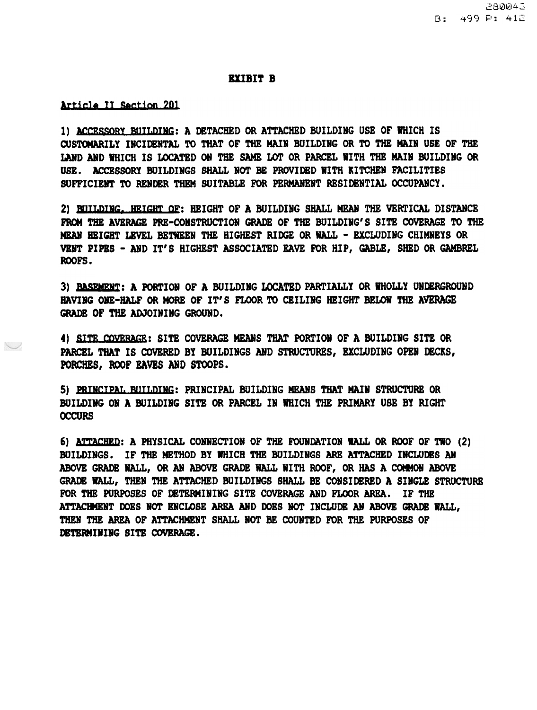#### EXIBIT B

#### Article II Section 201

 $\smile$ 

1) ACCESSORY BUILDING: A DETACHED OR ATTACHED BUILDING USE OF WHICH IS CUSTOMARILY INCIDENTAL TO THAT OF THE MAIN BUILDING OR TO THE MAIN USE OF THE LAND AND WHICH IS LOCATED ON THE SAME LOT OR PARCEL WITH THE MAIN BUILDING OR USE. ACCESSORY BUILDINGS SHALL NOT BE PROVIDED WITH KITCHEN FACILITIES SUFFICIENT TO RENDER THEM SUITABLE FOR PERMANENT RESIDENTIAL OCCUPANCY.

2) BUILDING. HEIGHT OF: HEIGHT OF A BUILDING SHALL MEAN THE VERTICAL DISTANCE FROM THE AVERAGE PRE-CONSTRUCTION GRADE OF THE BUILDING'S SITE COVERAGE TO THE MEAN HEIGHT LEVEL BETWEEN THE HIGHEST RIDGE OR WALL - EXCLUDING CHIMNEYS OR VENT PIPES - AND IT'S HIGHEST ASSOCIATED EAVE FOR HIP, GABLE, SHED OR GAMBREL ROOFS.

3) **BASEMENT: A PORTION OF A BUILDING LOCATED PARTIALLY OR WHOLLY UNDERGROUND** HAVING ONE-HALF OR MORE OF IT'S FLOOR TO CEILING HEIGHT BELOW THE AVERAGE GRADE OF THE ADJOINING GROUND.

4) SITE COVERAGE: SITE COVERAGE MEANS THAT PORTION OF A BUILDING SITE OR PARCEL THAT IS COVERED BY BUILDINGS AND STRUCTURES, EXCLUDING OPEN DECKS, PORCHES, ROOF EAVES AND STOOPS.

5) PRINCIPAL BUILDING: PRINCIPAL BUILDING MEANS THAT MAIN STRUCTURE OR BUILDING ON A BUILDING SITE OR PARCEL IN WHICH THE PRIMARY USE BY RIGHT **OCCURS** 

6) ATTACHRD: A PHYSICAL CONNECTION OF THE FOUNDATION WALL OR ROOF OF TWO (2) BUILDINGS. IF THE METHOD BY WHICH THE BUILDINGS ARE ATTACHED INCLUDES AN ABOVE GRADE WALL, OR AN ABOVE GRADE WALL WITH ROOF, OR HAS A COMMON ABOVE GRADE WALL, THEN THE ATTACHED BUILDINGS SHALL BE CONSIDERED A SINGLE STRUCTURE FOR THE PURPOSES OF DETERMINING SITE COVERAGE AND FLOOR AREA. IF THE ATTACHMENT DOES NOT ENCLOSE AREA AND DOES NOT INCLUDE AN ABOVE GRADE WALL, THEN THE AREA OF ATTACHMENT SHALL NOT BE COUNTED FOR THE PURPOSES OF DETERMINING SITE COVERAGE.